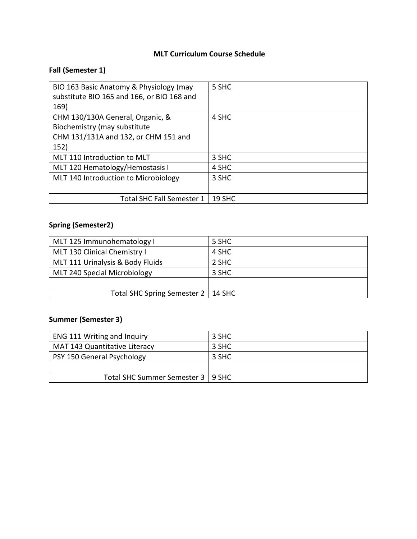# **MLT Curriculum Course Schedule**

## **Fall (Semester 1)**

| BIO 163 Basic Anatomy & Physiology (may<br>substitute BIO 165 and 166, or BIO 168 and<br>169)                    | 5 SHC  |
|------------------------------------------------------------------------------------------------------------------|--------|
| CHM 130/130A General, Organic, &<br>Biochemistry (may substitute<br>CHM 131/131A and 132, or CHM 151 and<br>152) | 4 SHC  |
| MLT 110 Introduction to MLT                                                                                      | 3 SHC  |
| MLT 120 Hematology/Hemostasis I                                                                                  | 4 SHC  |
| MLT 140 Introduction to Microbiology                                                                             | 3 SHC  |
|                                                                                                                  |        |
| Total SHC Fall Semester 1                                                                                        | 19 SHC |

### **Spring (Semester2)**

| MLT 125 Immunohematology I           | 5 SHC |
|--------------------------------------|-------|
| MLT 130 Clinical Chemistry I         | 4 SHC |
| MLT 111 Urinalysis & Body Fluids     | 2 SHC |
| MLT 240 Special Microbiology         | 3 SHC |
|                                      |       |
| Total SHC Spring Semester 2   14 SHC |       |

### **Summer (Semester 3)**

| <b>ENG 111 Writing and Inquiry</b>   | 3 SHC |
|--------------------------------------|-------|
| <b>MAT 143 Quantitative Literacy</b> | 3 SHC |
| PSY 150 General Psychology           | 3 SHC |
|                                      |       |
| Total SHC Summer Semester 3   9 SHC  |       |